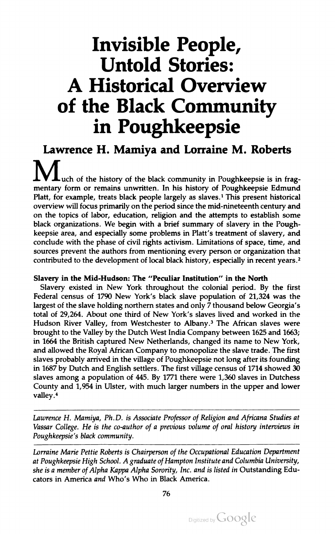# Invisible People, Untold Stories: A Historical Overview of the Black Community in Poughkeepsie

IV **L**uch of the history of the black community in Poughkeepsie is in frag-<br>ry form or remains unwritten. In his history of Poughkeepsie Edmund mentary form or remains unwritten. In his history or Poughkeepsie Edmund<br>Platt, for example, treats black people largely as slaves.<sup>1</sup> This present historical form or remains unwritten. In his history or Platt, for example, treats black people largely as slaves. This present historical<br>overview will focus primarily on the period since the mid-nineteenth century and<br>an the tenise of labor advertise and interest the stabilis overview will focus primarily on the period since the mid-hineteenth century and<br>on the topics of labor, education, religion and the attempts to establish some on the topics of labor, equivation, religion and the attempts to topics or labor, education, religion and the attempts to establish some<br>ganizations. We begin with a brief summary of slavery in the Poughblack organizations. We begin with a brief summary of slavery in<br>keepsie area, and especially some problems in Platt's treatment of organizations. We begin with a brief summary of slavery in the Pough-<br>le area, and especially some problems in Platt's treatment of slavery, and keepsie area, and especially some problems in Platt's treatment of slavery, and<br>conclude with the phase of civil rights activism. Limitations of space, time, and especially some problems in Platt's treatment of slavery<br>phase of civil rights activism. Limitations of space, time conclude with the phase or civil rights activism. Limitations or space, time, and<br>sources prevent the authors from mentioning every person or organization that with the phase of civil rights activism. Limitations of<br>revent the enthore from mentioning eveny negation of sources prevent the authors from mentioning every person or organization that<br>contributed to the development of local black history, especially in recent years.<sup>2</sup> contributed to the development of local black history , especially in recent years.2 Lawrence H. Mamiya and Lorraine M. Roberts

## Slavery in the Mid-Hudson: The " Peculiar Institution " in the North

Slavery existed in New York throughout the colonial period. By the first Federal census of <sup>1790</sup> New York's black slave population of 21,324 was the largest of the slave holding northern states and only <sup>7</sup> thousand below Georgia's total of 29,264. About one third of New York's slaves lived and worked in the Hudson River Valley, from Westchester to Albany.<sup>3</sup> The African slaves were brought to the Valley by the Dutch West India Company between 1625 and 1663; in <sup>1664</sup> the British captured New Netherlands, changed its name to New York, and allowed the Royal African Company to monopolize the slave trade. The first slaves probably arrived in the village of Poughkeepsie not long after its founding in 1687 by Dutch and English settlers. The first village census of 1714 showed <sup>30</sup> slaves among <sup>a</sup> population of 445. By 1771 there were 1,360 slaves in Dutchess County and 1,954 in Ulster, with much larger numbers in the upper and lower valley.

Lawrence H. Mamiya, Ph.D. is Associate Professor of Religion and Africana Studies at Vassar College. He is the co-author of a previous volume of oral history interviews in Poughkeepsie's black community.

Lorraine Marie Pettie Roberts is Chairperson of the Occupational Education Department at Poughkeepsie High School. A graduate of Hampton Institute and Columbia University, she is a member of Alpha Kappa Alpha Sorority, Inc. and is listed in Outstanding Educators in America and Who's Who in Black America.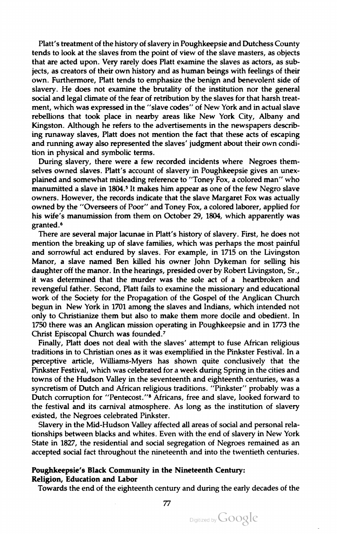Platt's treatment of the history of slavery in Poughkeepsie and Dutchess County tends to look at the slaves from the point of view of the slave masters, as objects that are acted upon. Very rarely does Platt examine the slaves as actors, as sub jects, as creators of their own history and as human beings with feelings of their own. Furthermore, Platt tends to emphasize the benign and benevolent side of slavery. He does not examine the brutality of the institution nor the general social and legal climate of the fear of retribution by the slaves for that harsh treatment, which was expressed in the " slave codes" of New York and in actual slave rebellions that took place in nearby areas like New York City, Albany and Kingston. Although he refers to the advertisements in the newspapers describing runaway slaves, Platt does not mention the fact that these acts of escaping and running away also represented the slaves' judgment about their own condi tion in physical and symbolic terms.

During slavery, there were a few recorded incidents where Negroes themselves owned slaves. Platt's account of slavery in Poughkeepsie gives an unex plained and somewhat misleading reference to "Toney Fox, a colored man" who manumitted a slave in 1804.<sup>5</sup> It makes him appear as one of the few Negro slave owners . However, the records indicate that the slave Margaret Fox was actually owned by the "Overseers of Poor" and Toney Fox, a colored laborer, applied for his wife's manumission from them on October 29, 1804, which apparently was granted .

There are several major lacunae in Platt's history of slavery. First, he does not mention the breaking up of slave families, which was perhaps the most painful and sorrowful act endured by slaves. For example, in 1715 on the Livingston Manor, <sup>a</sup> slave named Ben killed his owner John Dykeman for selling his daughter off themanor. In the hearings, presided over by Robert Livingston, Sr., it was determined that the murder was the sole act of <sup>a</sup> heartbroken and revengeful father. Second, Platt fails to examine the missionary and educational work of the Society for the Propagation of the Gospel of the Anglican Church begun in New York in 1701 among the slaves and Indians, which intended not only to Christianize them but also to make them more docile and obedient. In <sup>1750</sup> there was an Anglican mission operating in Poughkeepsie and in 1773 the Christ Episcopal Church was founded .?

Finally, Platt does not deal with the slaves' attempt to fuse African religious traditions in to Christian ones as it was exemplified in the Pinkster Festival. In <sup>a</sup> perceptive article, Williams-Myers has shown quite conclusively that the Pinkster Festival, which was celebrated for <sup>a</sup> week during Spring in the cities and towns of the Hudson Valley in the seventeenth and eighteenth centuries, was <sup>a</sup> syncretism of Dutch and African religious traditions. "Pinkster" probably was a Dutch corruption for "Pentecost."<sup>8</sup> Africans, free and slave, looked forward to the festival and its carnival atmosphere. As long as the institution of slavery existed, the Negroes celebrated Pinkster.

Slavery in the Mid -Hudson Valley affected all areas of social and personal rela tionships between blacks and whites. Even with the end of slavery in New York State in 1827 , the residential and social segregation of Negroes remained as an accepted social fact throughout the nineteenth and into the twentieth centuries .

### Poughkeepsie's Black Community in the Nineteenth Century: Religion, Education and Labor

Towards the end of the eighteenth century and during the early decades of the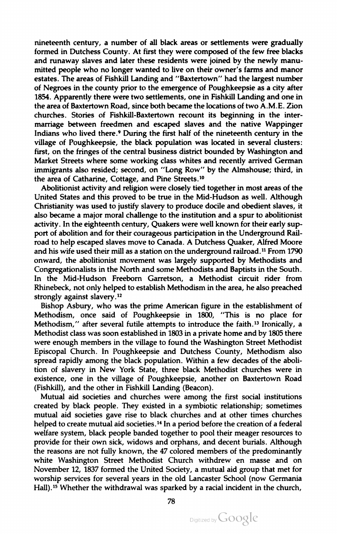nineteenth century , <sup>a</sup> number of all black areas or settlements were gradually formed in Dutchess County. At first they were composed of the few free blacks and runaway slaves and later these residents were joined by the newly manu mitted people who no longer wanted to live on their owner's farms and manor estates. The areas of Fishkill Landing and " Baxtertown" had the largest number of Negroes in the county prior to the emergence of Poughkeepsie as <sup>a</sup> city after 1854. Apparently there were two settlements, one in Fishkill Landing and one in the area of Baxtertown Road, since both becamethe locations of two A.M.E. Zion churches. Stories of Fishkill-Baxtertown recount its beginning in the inter marriage between freedmen and escaped slaves and the native Wappinger Indians who lived there.<sup>9</sup> During the first half of the nineteenth century in the village of Poughkeepsie , the black population was located in several clusters : first, on the fringes of the central business district bounded by Washington and Market Streets where some working class whites and recently arrived German immigrants also resided; second, on "Long Row" by the Almshouse; third, in the area of Catharine, Cottage, and Pine Streets.<sup>10</sup>

Abolitionist activity and religion were closely tied together in most areas of the United States and this proved to be true in the Mid-Hudson as well. Although Christianity was used to justify slavery to produce docile and obedient slaves, it also became a major moral challenge to the institution and a spur to abolitionist activity. In the eighteenth century, Quakers were well known for their early support of abolition and for their courageous participation in the Underground Rail road to help escaped slaves move to Canada. <sup>A</sup> Dutchess Quaker, Alfred Moore and his wife used their mill as <sup>a</sup> station on the underground railroad .11 From 1790 onward, the abolitionist movement was largely supported by Methodists and Congregationalists in the North and some Methodists and Baptists in the South. In the Mid-Hudson Freeborn Garretson, a Methodist circuit rider from Rhinebeck , not only helped to establish Methodism in the area, he also preached strongly against slavery.<sup>12</sup>

Bishop Asbury, who was the prime American figure in the establishment of Methodism, once said of Poughkeepsie in 1800, "This is no place for Methodism," after several futile attempts to introduce the faith.<sup>13</sup> Ironically, a Methodist class was soon established in 1803 in a private home and by 1805 there were enough members in the village to found the Washington Street Methodist<br>Episcopal Church. In Poughkeepsie and Dutchess County, Methodism also spread rapidly among the black population. Within a few decades of the abolition of slavery in New York State, three black Methodist churches were in existence, one in the village of Poughkeepsie, another on Baxtertown Road (Fishkill), and the other in Fishkill Landing (Beacon).

Mutual aid societies and churches were among the first social institutions created by black people. They existed in a symbiotic relationship; sometimes mutual aid societies gave rise to black churches and at other times churches helped to create mutual aid societies.<sup>14</sup> In a period before the creation of a federal welfare system , black people banded together to pool their meager resources to provide for their own sick, widows and orphans, and decent burials. Although the reasons are not fully known, the <sup>47</sup> colored members of the predominantly white Washington Street Methodist Church withdrew en masse and on November 12, 1837 formed the United Society, a mutual aid group that met for worship services for several years in the old Lancaster School (now Germania Hall).<sup>15</sup> Whether the withdrawal was sparked by a racial incident in the church,

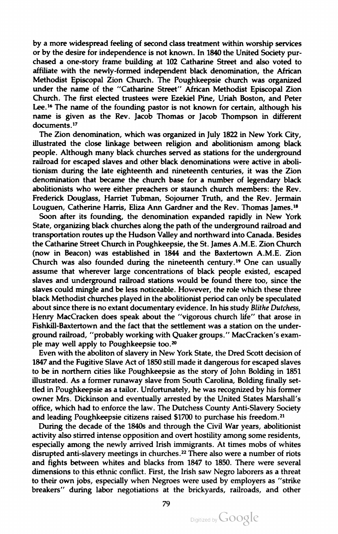by a more widespread feeling of second class treatment within worship services or by the desire for independence is not known. In <sup>1840</sup> the United Society pur chased a one-story frame building at <sup>102</sup> Catharine Street and also voted to affiliate with the newly -formed independent black denomination, the African Methodist Episcopal Zion Church . The Poughkeepsie church was organized under the name of the "Catharine Street" African Methodist Episcopal Zion Church. The first elected trustees were Ezekiel Pine, Uriah Boston, and Peter Lee.<sup>16</sup> The name of the founding pastor is not known for certain, although his name is given as the Rev. Jacob Thomas or Jacob Thompson in different documents.<sup>17</sup>

Louguen, Catherine Harris, Eliza Ann Gardner and the Rev. Thomas James.<sup>18</sup> The Zion denomination, which was organized in July 1822 in New York City, illustrated the close linkage between religion and abolitionism among black people. Although many black churches served as stations for the underground railroad for escaped slaves and other black denominations were active in aboli tionism during the late eighteenth and nineteenth centuries, it was the Zion denomination that became the church base for <sup>a</sup> number of legendary black abolitionists who were either preachers or staunch church members: the Rev. Frederick Douglass, Harriet Tubman, Sojourner Truth, and the Rev. Jermain

Soon after its founding, the denomination expanded rapidly in New York State, organizing black churches along the path of the underground railroad and transportation routes up the Hudson Valley and northward into Canada. Besides the Catharine Street Church in Poughkeepsie, the St. James A.M.E.Zion Church (now in Beacon) was established in 1844 and the Baxtertown A.M.E. Zion Church was also founded during the nineteenth century.<sup>19</sup> One can usually assume that wherever large concentrations of black people existed, escaped slaves and underground railroad stations would be found there too, since the slaves could mingle and be less noticeable. However, the role which these three black Methodist churches played in the abolitionist period can only be speculated about since there is no extant documentary evidence. In his study Blithe Dutchess, Henry MacCracken does speak about the "vigorous church life" that arose in Fishkill-Baxtertown and the fact that the settlement was a station on the underground railroad, " probably working with Quaker groups." MacCracken's exam ple may well apply to Poughkeepsie too.20

Even with the aboliton of slavery in New York State, the Dred Scott decision of <sup>1847</sup> and the Fugitive Slave Act of <sup>1850</sup> still made it dangerous for escaped slaves to be in northern cities like Poughkeepsie as the story of John Bolding in 1851 illustrated. As a former runaway slave from South Carolina, Bolding finally settled in Poughkeepsie as <sup>a</sup> tailor. Unfortunately, he was recognized by his former owner Mrs. Dickinson and eventually arrested by the United States Marshall's office, which had to enforce the law. The Dutchess County Anti-Slavery Society and leading Poughkeepsie citizens raised \$1700 to purchase his freedom.<sup>21</sup>

During the decade of the 1840s and through the Civil War years, abolitionist activity also stirred intense opposition and overt hostility among some residents, especially among the newly arrived Irish immigrants. At times mobs of whites disrupted anti-slavery meetings in churches.<sup>22</sup> There also were a number of riots and fights between whites and blacks from 1847 to 1850. There were several dimensions to this ethnic conflict. First, the Irish saw Negro laborers as <sup>a</sup> threat to their own jobs, especially when Negroes were used by employers as " strike breakers" during labor negotiations at the brickyards, railroads, and other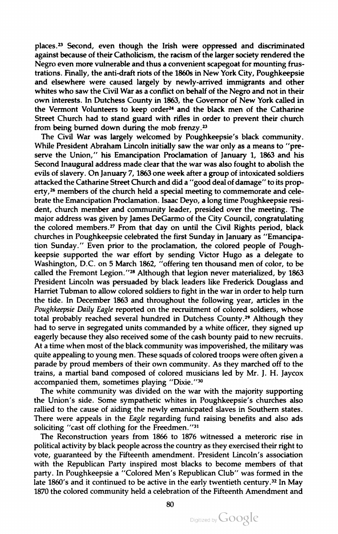places.23 Second, even though the Irish were oppressed and discriminated against because of their Catholicism, the racism of the larger society rendered the Negro even more vulnerable and thus a convenient scapegoat for mounting frustrations . Finally, the anti-draft riots of the 1860s in New York City, Poughkeepsie and elsewhere were caused largely by newly -arrived immigrants and other whites who saw the Civil War as a conflict on behalf of the Negro and not in their own interests. In Dutchess County in 1863, the Governor of New York called in the Vermont Volunteers to keep order $24$  and the black men of the Catharine Street Church had to stand guard with rifles in order to prevent their church from being burned down during the mob frenzy.23

The Civil War was largely welcomed by Poughkeepsie's black community . While President Abraham Lincoln initially saw the war only as <sup>a</sup> means to " pre serve the Union," his Emancipation Proclamation of January 1, 1863 and his Second Inaugural address made clear that thewar was also fought to abolish the evils of slavery. On January 7, 1863 one week after a group of intoxicated soldiers attacked the Catharine Street Church and did <sup>a</sup> ' good deal of damage' to its prop erty,<sup>26</sup> members of the church held a special meeting to commemorate and celebrate the Emancipation Proclamation. Isaac Deyo, a long time Poughkeepsie resident, church member and community leader, presided over the meeting. The major address was given by James DeGarmo of the City Council, congratulating the colored members.27 From that day on until the Civil Rights period, black churches in Poughkeepsie celebrated the first Sunday in January as " Emancipa tion Sunday." Even prior to the proclamation, the colored people of Poughkeepsie supported the war effort by sending Victor Hugo as <sup>a</sup> delegate to Washington, D.C. on 5 March 1862, "offering ten thousand men of color, to be called the Fremont Legion."<sup>28</sup> Although that legion never materialized, by  $1863$ President Lincoln was persuaded by black leaders like Frederick Douglass and Harriet Tubman to allow colored soldiers to fight in the war in order to help turn the tide. In December 1863 and throughout the following year, articles in the Poughkeepsie Daily Eagle reported on the recruitment of colored soldiers, whose total probably reached several hundred in Dutchess County.29 Although they had to serve in segregated units commanded by <sup>a</sup> white officer, they signed up eagerly because they also received some of the cash bounty paid to new recruits . At a time when most of the black community was impoverished, the military was quite appealing to young men. These squads of colored troops were often given a parade by proud members of their own community. As they marched off to the trains, <sup>a</sup> martial band composed of colored musicians led by Mr. J. H. Jaycox accompanied them, sometimes playing "Dixie."30

The white community was divided on the war with the majority supporting the Union's side. Some sympathetic whites in Poughkeepsie's churches also rallied to the cause of aiding the newly emanicpated slaves in Southern states. There were appeals in the *Eagle* regarding fund raising benefits and also ads soliciting "cast off clothing for the Freedmen."<sup>31</sup>

The Reconstruction years from 1866 to 1876 witnessed <sup>a</sup> meteroric rise in political activity by black people across the country as they exercised their right to vote, guaranteed by the Fifteenth amendment. President Lincoln's association with the Republican Party inspired most blacks to become members of that party. In Poughkeepsie a "Colored Men's Republican Club" was formed in the late 1860's and it continued to be active in the early twentieth century.<sup>32</sup> In May <sup>1870</sup> the colored community held <sup>a</sup> celebration of the Fifteenth Amendment and

80

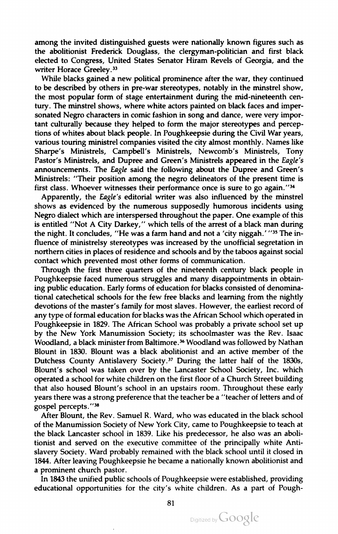among the invited distinguished guests were nationally known figures such as the abolitionist Frederick Douglass, the clergyman-politician and first black elected to Congress, United States Senator Hiram Revels of Georgia, and the writer Horace Greeley.<sup>33</sup>

While blacks gained a new political prominence after the war, they continued to be described by others in pre-war stereotypes, notably in the minstrel show , the most popular form of stage entertainment during the mid -nineteenth cen tury . The minstrel shows, where white actors painted on black faces and imper sonated Negro characters in comic fashion in song and dance, were very impor tant culturally because they helped to form the major stereotypes and percep tions of whites about black people. In Poughkeepsie during the Civil War years, various touring ministrel companies visited the city almost monthly. Names like Sharpe's Ministrels, Campbell's Ministrels, Newcomb's Ministrels, Tony Pastor's Ministrels, and Dupree and Green's Ministrels appeared in the Eagle's announcements. The Eagle said the following about the Dupree and Green's Ministrels: "Their position among the negro delineators of the present time is first class. Whoever witnesses their performance once is sure to go again." $34$ 

Apparently, the Eagle's editorial writer was also influenced by the minstrel shows as evidenced by the numerous supposedly humorous incidents using Negro dialect which are interspersed throughout the paper. One example of this is entitled "Not A City Darkey," which tells of the arrest of a black man during the night. It concludes, "He was a farm hand and not a 'city niggah.' "<sup>35</sup> The influence of ministrelsy stereotypes was increased by the unofficial segretation in northern cities in places of residence and schools and by the taboos against social contact which prevented most other forms of communication .

Through the first three quarters of the nineteenth century black people in Poughkeepsie faced numerous struggles and many disappointments in obtain ing public education. Early forms of education for blacks consisted of denominational catechetical schools for the few free blacks and learning from the nightly devotions of the master's family for most slaves. However, the earliest record of any type of formal education for blacks was the African School which operated in Poughkeepsie in 1829. The African School was probably <sup>a</sup> private school set up by the New York Manumission Society; its schoolmaster was the Rev. Isaac Woodland, a black minister from Baltimore.<sup>36</sup> Woodland was followed by Nathan Blount in 1830. Blount was <sup>a</sup> black abolitionist and an active member of the Dutchess County Antislavery Society.37 During the latter half of the 1830s, Blount's school was taken over by the Lancaster School Society, Inc. which operated a school for white children on the first floor of a Church Street building that also housed Blount's school in an upstairs room . Throughout these early years there was a strong preference that the teacher be a "teacher of letters and of gospel percepts."'38

After Blount, the Rev. Samuel R. Ward, who was educated in the black school of the Manumission Society of New York City, came to Poughkeepsie to teach at the black Lancaster school in 1839. Like his predecessor, he also was an aboli tionist and served on the executive committee of the principally white Anti slavery Society . Ward probably remained with the black school until it closed in 1844. After leaving Poughkeepsie he became a nationally known abolitionist and <sup>a</sup> prominent church pastor.

In 1843 the unified public schools of Poughkeepsie were established, providing educational opportunities for the city's white children. As a part of Pough-

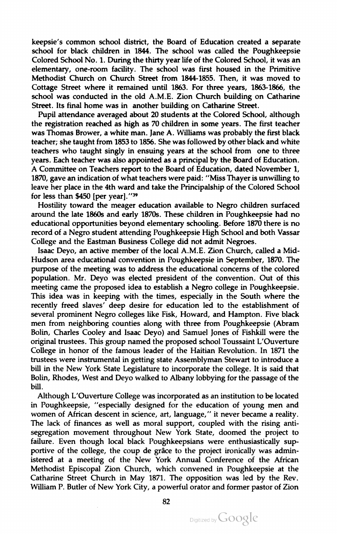keepsie's common school district, the Board of Education created <sup>a</sup> separate school for black children in 1844. The school was called the Poughkeepsie Colored School No. 1. During the thirty year life of the Colored School, it was an elementary, one-room facility. The school was first housed in the Primitive Methodist Church on Church Street from 1844-1855 . Then, it was moved to Cottage Street where it remained until 1863. For three years, 1863-1866, the school was conducted in the old A.M.E. Zion Church building on Catharine Street. Its final home was in another building on Catharine Street.

Pupil attendance averaged about <sup>20</sup> students at the Colored School, although the registration reached as high as 70 children in some years. The first teacher was Thomas Brower, a white man. Jane A. Williams was probably the first black teacher; she taught from 1853 to 1856. She was followed by other black and white teachers who taught singly in ensuing years at the school from one to three years. Each teacher was also appointed as a principal by the Board of Education. <sup>A</sup> Committee on Teachers report to the Board of Education, dated November 1, 1870, gave an indication of what teachers were paid: "Miss Thayer is unwilling to leave her place in the 4th ward and take the Principalship of the Colored School for less than  $$450$  [per year]."<sup>39</sup>

Hostility toward the meager education available to Negro children surfaced around the late 1860s and early 1870s. These children in Poughkeepsie had no educational opportunities beyond elementary schooling. Before 1870 there is no record of <sup>a</sup> Negro student attending Poughkeepsie High School and both Vassar College and the Eastman Business College did not admit Negroes .

Isaac Deyo, an active member of the local A.M.E. Zion Church, called a Mid-Hudson area educational convention in Poughkeepsie in September, 1870. The purpose of the meeting was to address the educational concerns of the colored population. Mr. Deyo was elected president of the convention. Out of this meeting came the proposed idea to establish a Negro college in Poughkeepsie. This idea was in keeping with the times, especially in the South where the recently freed slaves' deep desire for education led to the establishment of several prominent Negro colleges like Fisk, Howard, and Hampton. Five black men from neighboring counties along with three from Poughkeepsie ( Abram Bolin, Charles Cooley and Isaac Deyo) and Samuel Jones of Fishkill were the original trustees. This group named the proposed school Toussaint L'Ouverture College in honor of the famous leader of the Haitian Revolution. In 1871 the trustees were instrumental in getting state Assemblyman Stewart to introduce <sup>a</sup> bill in the New York State Legislature to incorporate the college. It is said that Bolin, Rhodes, West and Deyo walked to Albany lobbying for the passage of the bill.

Although L'Ouverture College was incorporated as an institution to be located in Poughkeepsie, "especially designed for the education of young men and women of African descent in science, art, language," it never became a reality. The lack of finances as well as moral support, coupled with the rising anti segregation movement throughout New York State, doomed the project to failure. Even though local black Poughkeepsians were enthusiastically supportive of the college, the coup de grâce to the project ironically was admin istered at <sup>a</sup> meeting of the New York Annual Conference of the African Methodist Episcopal Zion Church, which convened in Poughkeepsie at the Catharine Street Church in May 1871. The opposition was led by the Rev. William P. Butler of New York City, a powerful orator and former pastor of Zion

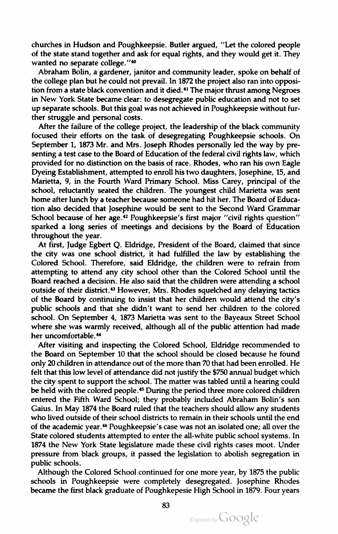churches in Hudson and Poughkeepsie. Butler argued, " Let the colored people of the state stand together and ask for equal rights, and they would get it . They wanted no separate college."<sup>40</sup>

Abraham Bolin, a gardener, janitor and community leader, spoke on behalf of the college plan but he could not prevail. In 1872 the project also ran into opposition from a state black convention and it died.<sup>41</sup> The major thrust among Negroes in New York State became clear: to desegregate public education and not to set up separate schools. But this goal was notachieved in Poughkeepsie without fur ther struggle and personal costs .

After the failure of the college project, the leadership of the black community focused their efforts on the task of desegregating Poughkeepsie schools . On September 1, <sup>1873</sup> Mr. and Mrs. Joseph Rhodes personally led the way by pre senting a test case to the Board of Education of the federal civil rights law, which provided for no distinction on the basis of race . Rhodes, who ran his own Eagle Dyeing Establishment, attempted to enroll his two daughters, Josephine, 15, and Marietta, 9, in the Fourth Ward Primary School. Miss Carey, principal of the school, reluctantly seated the children. The youngest child Marietta was sent home after lunch by a teacher because someone had hit her. The Board of Education also decided that Josephine would be sent to the Second Ward Grammar School because of her age.<sup>42</sup> Poughkeepsie's first major "civil rights question" sparked <sup>a</sup> long series of meetings and decisions by the Board of Education throughout the year.

At first, Judge Egbert Q. Eldridge , President of the Board, claimed that since the city was one school district, it had fulfilled the law by establishing the Colored School. Therefore, said Eldridge, the children were to refrain from attempting to attend any city school other than the Colored School until the Board reached a decision. He also said that the children were attending a school outside of their district.<sup>43</sup> However, Mrs. Rhodes squelched any delaying tactics of the Board by continuing to insist that her children would attend the city's public schools and that she didn't want to send her children to the colored school. On September 4, <sup>1873</sup> Marietta was sent to the Bayeaux Street School where she was warmly received, although all of the public attention had made her uncomfortable.<sup>44</sup>

After visiting and inspecting the Colored School, Eldridge recommended to the Board on September <sup>10</sup> that the school should be closed because he found only <sup>20</sup> children in attendance out of the more than <sup>70</sup> that had been enrolled . He felt that this low level of attendance did not justify the \$750 annual budget which the city spent to support the school. The matter was tabled until a hearing could be held with the colored people.<sup>45</sup> During the period three more colored children entered the Fifth Ward School; they probably included Abraham Bolin's son Gaius. In May <sup>1874</sup> the Board ruled that the teachers should allow any students who lived outside of their school districts to remain in their schools until the end of the academic year.46 Poughkeepsie's case was not an isolated one; all over the State colored students attempted to enter the all-white public school systems. In <sup>1874</sup> the New York State legislature made these civil rights cases moot. Under pressure from black groups, it passed the legislation to abolish segregation in public schools.

Although the Colored School continued for onemore year, by 1875 the public schools in Poughkeepsie were completely desegregated. Josephine Rhodes became the first black graduate of Poughkepesie High School in 1879. Four years

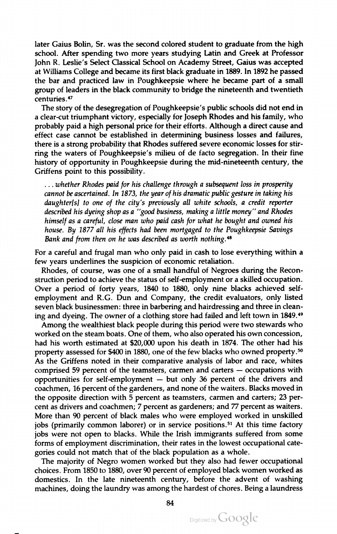later Gaius Bolin, Sr. was the second colored student to graduate from the high school. After spending two more years studying Latin and Greek at Professor John R. Leslie's Select Classical School on Academy Street, Gaius was accepted at Williams College and became its first black graduate in 1889. In 1892 he passed the bar and practiced law in Poughkeepsie where he became part of <sup>a</sup> small group of leaders in the black community to bridge the nineteenth and twentieth centuries. <sup>47</sup>

The story of the desegregation of Poughkeepsie's public schools did not end in<br>a clear-cut triumphant victory, especially for Joseph Rhodes and his family, who probably paid a high personal price for their efforts. Although a direct cause and effect case cannot be established in determining business losses and failures, there is <sup>a</sup> strong probability that Rhodes suffered severe economic losses for stir ring the waters of Poughkeepsie's milieu of de facto segregation. In their fine history of opportunity in Poughkeepsie during the mid-nineteenth century, the Griffens point to this possibility .

...whether Rhodes paid for his challenge through a subsequent loss in prosperity cannot be ascertained. In 1873, the year of his dramatic public gesture in taking his daughter(s) to one of the city's previously all white schools, a credit reporter described his dyeing shop as <sup>a</sup> " good business, making <sup>a</sup> little money " and Rhodes himself as <sup>a</sup> careful, close man who paid cash for what he bought and owned his house. By 1877 all his effects had been mortgaged to the Poughkeepsie Savings Bank and from then on he was described as worth nothing.<sup>48</sup>

For a careful and frugal man who only paid in cash to lose everything within a few years underlines the suspicion of economic retaliation .

Rhodes, of course, was one of a small handful of Negroes during the Reconstruction period to achieve the status of self-employment or a skilled occupation. Over <sup>a</sup> period of forty years, 1840 to 1880, only nine blacks achieved self employment and R.G. Dun and Company, the credit evaluators, only listed seven black businessmen: three in barbering and hairdressing and three in cleaning and dyeing. The owner of <sup>a</sup> clothing store had failed and left town in 1849.49

Among the wealthiest black people during this period were two stewards who worked on the steam boats. One of them, who also operated his own concession, had his worth estimated at \$20,000 upon his death in 1874. The other had his property assessed for \$400 in 1880, one of the few blacks who owned property.<sup>50</sup> As the Griffens noted in their comparative analysis of labor and race, whites comprised 59 percent of the teamsters, carmen and carters  $-$  occupations with opportunities for self-employment – but only <sup>36</sup> percent of the drivers and coachmen, 16 percent of the gardeners, and none of the waiters. Blacks moved in the opposite direction with 5 percent as teamsters, carmen and carters; 23 percent as drivers and coachmen; 7 percent as gardeners; and 77 percent as waiters. More than <sup>90</sup> percent of black males who were employed worked in unskilled jobs (primarily common laborer) or in service positions.51 At this time factory jobs were not open to blacks. While the Irish immigrants suffered from some forms of employment discrimination, their rates in the lowest occupational categories could not match that of the black population as <sup>a</sup> whole .

The majority of Negro women worked but they also had fewer occupational choices. From 1850 to 1880, over <sup>90</sup> percent of employed black women worked as domestics. In the late nineteenth century, before the advent of washing machines, doing the laundry was among the hardest of chores . Being <sup>a</sup> laundress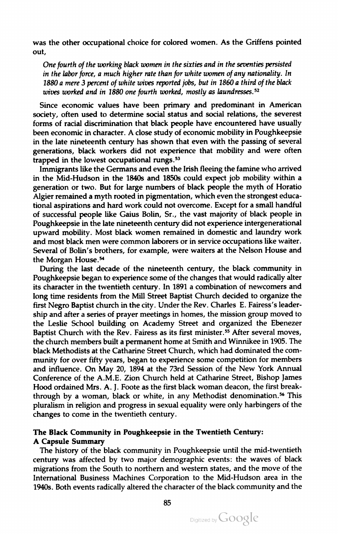was the other occupational choice for colored women . As the Griffens pointed out,

One fourth of the working black women in the sixties and in the seventies persisted in the labor force, <sup>a</sup> much higher rate than for white women of any nationality. In 1880 a mere 3 percent of white wives reported jobs, but in 1860 a third of the black wives worked and in 1880 one fourth worked, mostly as laundresses.<sup>52</sup>

Since economic values have been primary and predominant in American society, often used to determine social status and social relations, the severest forms of racial discrimination that black people have encountered have usually been economic in character. A close study of economic mobility in Poughkeepsie in the late nineteenth century has shown that even with the passing of several generations, black workers did not experience that mobility and were often trapped in the lowest occupational rungs.<sup>53</sup>

Immigrants like the Germans and even the Irish fleeing the famine who arrived in the Mid -Hudson in the 1840s and 1850s could expect job mobility within <sup>a</sup> generation or two. But for large numbers of black people the myth of Horatio Algier remained a myth rooted in pigmentation, which even the strongest educational aspirations and hard work could not overcome. Except for <sup>a</sup> small handful of successful people like Gaius Bolin, Sr., the vast majority of black people in Poughkeepsie in the late nineteenth century did not experience intergenerational upward mobility . Most black women remained in domestic and laundry work and most black men were common laborers or in service occupations like waiter. Several of Bolin's brothers, for example, were waiters at the Nelson House and the Morgan House.54

During the last decade of the nineteenth century, the black community in Poughkeepsie began to experience someof the changes that would radically alter its character in the twentieth century. In 1891 <sup>a</sup> combination of newcomers and long time residents from the Mill Street Baptist Church decided to organize the first Negro Baptist church in the city. Under the Rev. Charles E. Fairess's leadership and after a series of prayer meetings in homes, the mission group moved to the Leslie School building on Academy Street and organized the Ebenezer Baptist Church with the Rev. Fairess as its first minister.<sup>55</sup> After several moves, the church members built <sup>a</sup> permanent homeat Smith and Winnikee in 1905. The black Methodists at the Catharine Street Church ,which had dominated the com munity for over fifty years, began to experience some competition for members and influence. On May 20, <sup>1894</sup> at the 73rd Session of the New York Annual Conference of the A.M.E. Zion Church held at Catharine Street, Bishop James Hood ordained Mrs. A. J. Foote as the first black woman deacon, the first breakthrough by a woman, black or white, in any Methodist denomination.<sup>56</sup> This pluralism in religion and progress in sexual equality were only harbingers of the changes to come in the twentieth century.

## The Black Community in Poughkeepsie in the Twentieth Century: <sup>A</sup> Capsule Summary

The history of the black community in Poughkeepsie until the mid-twentieth century was affected by two major demographic events: the waves of black migrations from the South to northern and western states, and the move of the International Business Machines Corporation to the Mid-Hudson area in the 1940s. Both events radically altered the character of the black community and the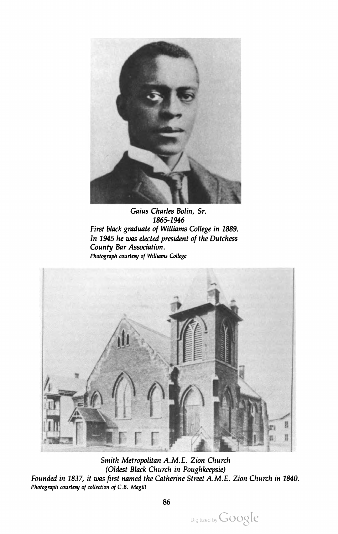

Gaius Charles Bolin, Sr. 1865-1946 First black graduate of Williams College in 1889. In 1945 he was elected president of the Dutchess County Bar Association. Photograph courtesy of Williams College



Smith Metropolitan A.M.E. Zion Church (Oldest Black Church in Poughkeepsie) Founded in 1837, it was first named the Catherine Street A.M.E. Zion Church in 1840. Photograph courtesy of collection of C.B. Magill

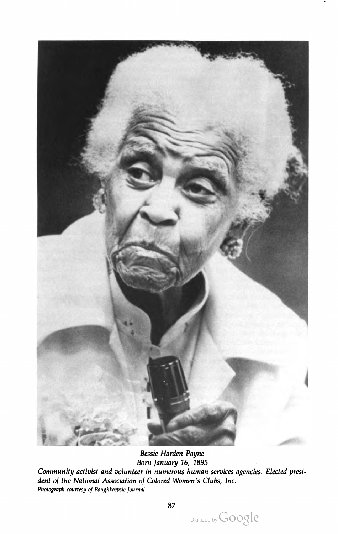

Bessie Harden Payne Born January 16, 1895 Community activist and volunteer in numerous human services agencies. Elected presi dent of the National Association of Colored Women's Clubs, Inc. Photograph courtesy of Poughkeepsie Journal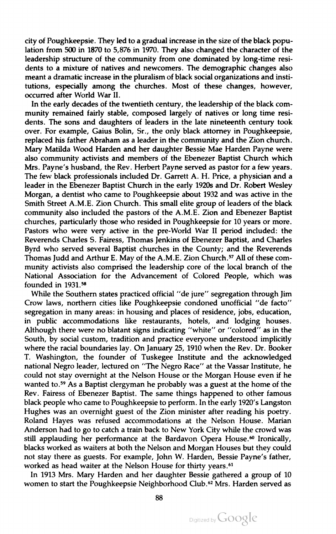city of Poughkeepsie. They led to a gradual increase in the size of the black population from 500 in 1870 to 5,876 in 1970. They also changed the character of the leadership structure of the community from one dominated by long-time resi dents to a mixture of natives and newcomers. The demographic changes also meant <sup>a</sup> dramatic increase in the pluralism of black social organizations and insti tutions, especially among the churches. Most of these changes, however, occurred after World War II.

In the early decades of the twentieth century, the leadership of the black community remained fairly stable, composed largely of natives or long time residents. The sons and daughters of leaders in the late nineteenth century took over. For example, Gaius Bolin, Sr., the only black attorney in Poughkeepsie, replaced his father Abraham as <sup>a</sup> leader in the community and the Zion church . Mary Matilda Wood Harden and her daughter Bessie Mae Harden Payne were also community activists and members of the Ebenezer Baptist Church which Mrs. Payne's husband, the Rev. Herbert Payne served as pastor for a few years. The few black professionals included Dr. Garrett A. H. Price, a physician and a leader in the Ebenezer Baptist Church in the early 1920s and Dr. Robert Wesley Morgan, a dentist who came to Poughkeepsie about 1932 and was active in the Smith Street A.M.E. Zion Church. This small elite group of leaders of the black community also included the pastors of the A.M.E. Zion and Ebenezer Baptist churches, particularly those who resided in Poughkeepsie for <sup>10</sup> years or more. Pastors who were very active in the pre-World War II period included: the Reverends Charles S. Fairess, Thomas Jenkins of Ebenezer Baptist, and Charles Byrd who served several Baptist churches in the County; and the Reverends Thomas Judd and Arthur E. May of the A.M.E. Zion Church.<sup>57</sup> All of these community activists also comprised the leadership core of the local branch of the National Association for the Advancement of Colored People, which was founded in 1931.58

While the Southern states practiced official "de jure" segregation through Jim Crow laws, northern cities like Poughkeepsie condoned unofficial " de facto " segregation in many areas: in housing and places of residence, jobs, education, in public accommodations like restaurants, hotels, and lodging houses. Although there were no blatant signs indicating "white" or "colored" as in the South, by social custom, tradition and practice everyone understood implicitly where the racial boundaries lay. On January 25, 1910 when the Rev. Dr. Booker T. Washington, the founder of Tuskegee Institute and the acknowledged national Negro leader, lectured on "The Negro Race" at the Vassar Institute, he could not stay overnight at the Nelson House or the Morgan House even if he wanted to.59 As <sup>a</sup> Baptist clergyman he probably was <sup>a</sup> guest at the home of the Rev. Fairess of Ebenezer Baptist. The same things happened to other famous black people who came to Poughkeepsie to perform . In the early 1920's Langston Hughes was an overnight guest of the Zion minister after reading his poetry. Roland Hayes was refused accommodations at the Nelson House. Marian Anderson had to go to catch <sup>a</sup> train back to New York City while the crowd was still applauding her performance at the Bardavon Opera House.<sup>60</sup> Ironically, blacks worked as waiters at both the Nelson and Morgan Houses but they could not stay there as guests. For example, John W. Harden, Bessie Payne's father, worked as head waiter at the Nelson House for thirty years.<sup>61</sup>

In 1913 Mrs. Mary Harden and her daughter Bessie gathered a group of 10 women to start the Poughkeepsie Neighborhood Club.<sup>62</sup> Mrs. Harden served as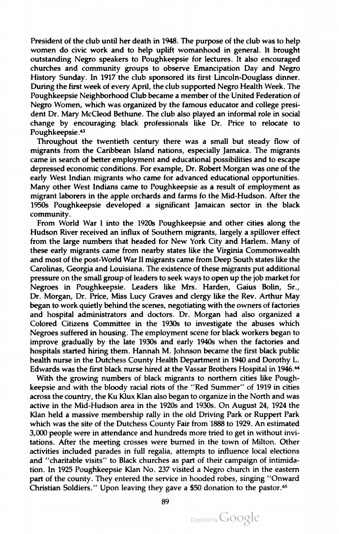President of the club until her death in 1948. The purpose of the club was to help women do civic work and to help uplift womanhood in general. It brought outstanding Negro speakers to Poughkeepsie for lectures. It also encouraged churches and community groups to observe Emancipation Day and Negro History Sunday. In 1917 the club sponsored its first Lincoln-Douglass dinner. During the first week of every April, the club supported Negro Health Week. The Poughkeepsie Neighborhood Club became a member of the United Federation of Negro Women, which was organized by the famous educator and college president Dr.Mary McCleod Bethune. The club also played an informal role in social change by encouraging black professionals like Dr. Price to relocate to Poughkeepsie.<sup>63</sup>

Throughout the twentieth century there was <sup>a</sup> small but steady flow of migrants from the Caribbean Island nations, especially Jamaica . The migrants came in search of better employment and educational possibilities and to escape depressed economic conditions. For example, Dr. Robert Morgan was one of the early West Indian migrants who came for advanced educational opportunities. Many other West Indians came to Poughkeepsie as <sup>a</sup> result of employment as migrant laborers in the apple orchards and farms fo the Mid -Hudson. After the 1950s Poughkeepsie developed <sup>a</sup> significant Jamaican sector in the black community

From World War <sup>I</sup> into the 1920s Poughkeepsie and other cities along the Hudson River received an influx of Southern migrants, largely <sup>a</sup> spillover effect from the large numbers that headed for New York City and Harlem. Many of these early migrants came from nearby states like the Virginia Commonwealth and most of the post-World War II migrants came from Deep South states like the Carolinas, Georgia and Louisiana. The existence of these migrants put additional pressure on the small group of leaders to seek ways to open up the job market for Negroes in Poughkeepsie. Leaders like Mrs. Harden, Gaius Bolin, Sr., Dr. Morgan, Dr. Price, Miss Lucy Graves and clergy like the Rev. Arthur May began to work quietly behind the scenes, negotiating with the owners of factories and hospital administrators and doctors. Dr. Morgan had also organized <sup>a</sup> Colored Citizens Committee in the 1930s to investigate the abuses which Negroes suffered in housing. The employment scene for black workers began to improve gradually by the late 1930s and early 1940s when the factories and hospitals started hiring them. Hannah M. Johnson became the first black public health nurse in the Dutchess County Health Department in 1940 and Dorothy L. Edwards was the first black nurse hired at the Vassar Brothers Hospital in 1946.64

With the growing numbers of black migrants to northern cities like Pough keepsie and with the bloody racial riots of the " Red Summer" of 1919 in cities across the country, the Ku Klux Klan also began to organize in the North and was active in the Mid -Hudson area in the 1920s and 1930s. On August <sup>24</sup> , <sup>1924</sup> the Klan held <sup>a</sup> massive membership rally in the old Driving Park or Ruppert Park which was the site of the Dutchess County Fair from <sup>1888</sup> to 1929. An estimated 3,000 people were in attendance and hundreds more tried to get in without invi tations. After the meeting crosses were burned in the town of Milton. Other activities included parades in full regalia, attempts to influence local elections and "charitable visits" to Black churches as part of their campaign of intimidation. In 1925 Poughkeepsie Klan No. 237 visited a Negro church in the eastern part of the county. They entered the service in hooded robes, singing "Onward Christian Soldiers." Upon leaving they gave a \$50 donation to the pastor.<sup>65</sup>

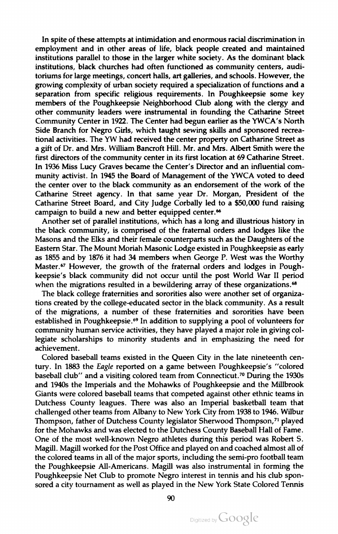In spite of these attempts at intimidation and enormous racial discrimination in employment and in other areas of life, black people created and maintained institutions parallel to those in the larger white society . As the dominant black institutions, black churches had often functioned as community centers, audi toriums for large meetings, concert halls, art galleries, and schools. However, the growing complexity of urban society required <sup>a</sup> specialization of functions and <sup>a</sup> separation from specific religious requirements. In Poughkeepsie some key members of the Poughkeepsie Neighborhood Club along with the clergy and other community leaders were instrumental in founding the Catharine Street Community Center in 1922. The Center had begun earlier as the YWCA's North Side Branch for Negro Girls, which taught sewing skills and sponsored recrea tional activities. The YW had received the center property on Catharine Street as <sup>a</sup> gift of Dr. and Mrs. William Bancroft Hill. Mr. and Mrs. Albert Smith were the first directors of the community center in its first location at 69 Catharine Street. In <sup>1936</sup> Miss Lucy Graves became the Center's Director and an influential com munity activist. In 1945 the Board of Management of the YWCA voted to deed the center over to the black community as an endorsement of the work of the Catharine Street agency . In that same year Dr. Morgan, President of the Catharine Street Board, and City Judge Corbally led to a \$50,000 fund raising campaign to build a new and better equipped center.<sup>66</sup>

Another set of parallel institutions, which has a long and illustrious history in the black community, is comprised of the fraternal orders and lodges like the Masons and the Elks and their female counterparts such as the Daughters of the Eastern Star. The Mount Moriah Masonic Lodge existed in Poughkeepsie as early as <sup>1855</sup> and by <sup>1876</sup> it had 34 members when George P. West was the Worthy Master.<sup>67</sup> However, the growth of the fraternal orders and lodges in Poughkeepsie's black community did not occur until the post World War II period when the migrations resulted in a bewildering array of these organizations.<sup>68</sup>

The black college fraternities and sororities also were another set of organiza tions created by the college-educated sector in the black community. As a result of the migrations, <sup>a</sup> number of these fraternities and sororities have been established in Poughkeepsie.<sup>69</sup> In addition to supplying a pool of volunteers for community human service activities, they have played amajor role in giving col legiate scholarships to minority students and in emphasizing the need for achievement.

Colored baseball teams existed in the Queen City in the late nineteenth cen tury. In 1883 the Eagle reported on a game between Poughkeepsie's "colored baseball club" and a visiting colored team from Connecticut.<sup>70</sup> During the 1930s and 1940s the Imperials and the Mohawks of Poughkeepsie and the Millbrook Giants were colored baseball teams that competed against other ethnic teamsin Dutchess County leagues. There was also an Imperial basketball team that challenged other teams from Albany to New York City from 1938 to 1946. Wilbur Thompson, father of Dutchess County legislator Sherwood Thompson,<sup>71</sup> played for the Mohawks and was elected to the Dutchess County Baseball Hall of Fame. One of the most well-known Negro athletes during this period was Robert S. Magill. Magill worked for the Post Office and played on and coached almost all of the colored teams in all of the major sports, including the semi-pro football team the Poughkeepsie All-Americans. Magill was also instrumental in forming the Poughkeepsie Net Club to promote Negro interest in tennis and his club spon sored <sup>a</sup> city tournament as well as played in the New York State Colored Tennis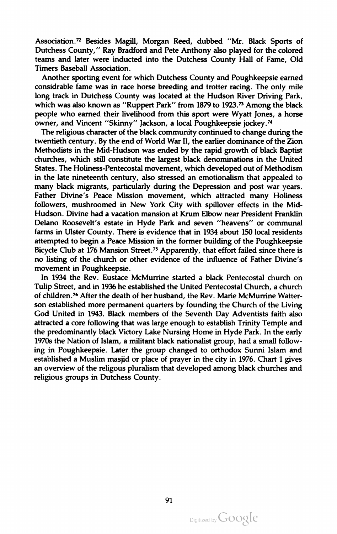Association.<sup>72</sup> Besides Magill, Morgan Reed, dubbed "Mr. Black Sports of Dutchess County," Ray Bradford and Pete Anthony also played for the colored teams and later were inducted into the Dutchess County Hall of Fame, Old Timers Baseball Association .

Another sporting event for which Dutchess County and Poughkeepsie earned considrable fame was in race horse breeding and trotter racing . The only mile long track in Dutchess County was located at the Hudson River Driving Park, which was also known as "Ruppert Park" from 1879 to 1923.<sup>73</sup> Among the black people who earned their livelihood from this sport were Wyatt Jones, <sup>a</sup> horse owner, and Vincent " Skinny" Jackson, <sup>a</sup> local Poughkeepsie jockey.74

The religious character of the black community continued to change during the twentieth century. By the end of World War II, the earlier dominance of the Zion Methodists in the Mid -Hudson was ended by the rapid growth of black Baptist churches, which still constitute the largest black denominations in the United States. The Holiness-Pentecostal movement, which developed out of Methodism in the late nineteenth century, also stressed an emotionalism that appealed to many black migrants, particularly during the Depression and post war years. Father Divine's Peace Mission movement, which attracted many Holiness followers, mushroomed in New York City with spillover effects in the Mid Hudson . Divine had <sup>a</sup> vacation mansion at Krum Elbow near President Franklin Delano Roosevelt's estate in Hyde Park and seven " heavens" or communal farms in Ulster County. There is evidence that in 1934 about 150 local residents attempted to begin a Peace Mission in the former building of the Poughkeepsie Bicycle Club at 176 Mansion Street.<sup>75</sup> Apparently, that effort failed since there is no listing of the church or other evidence of the influence of Father Divine's movement in Poughkeepsie .

In 1934 the Rev. Eustace McMurrine started <sup>a</sup> black Pentecostal church on Tulip Street, and in <sup>1936</sup> he established the United Pentecostal Church, <sup>a</sup> church of children.<sup>76</sup> After the death of her husband, the Rev. Marie McMurrine Watterson established more permanent quarters by founding the Church of the Living God United in 1943. Black members of the Seventh Day Adventists faith also attracted <sup>a</sup> core following that was large enough to establish Trinity Temple and the predominantly black Victory Lake Nursing Home in Hyde Park. In the early 1970s the Nation of Islam , <sup>a</sup> militant black nationalist group, had <sup>a</sup> small follow ing in Poughkeepsie. Later the group changed to orthodox Sunni Islam and established a Muslim masjid or place of prayer in the city in 1976. Chart 1 gives an overview of the religous pluralism that developed among black churches and religious groups in Dutchess County .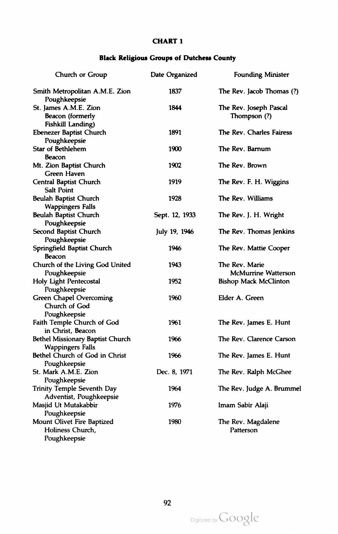## CHART <sup>1</sup>

## Black Religious Groups of Dutchess County

| Church or Group                                                 | Date Organized | <b>Founding Minister</b>                     |
|-----------------------------------------------------------------|----------------|----------------------------------------------|
| Smith Metropolitan A.M.E. Zion<br>Poughkeepsie                  | 1837           | The Rev. Jacob Thomas (?)                    |
| St. James A.M.E. Zion<br>Beacon (formerly<br>Fishkill Landing)  | 1844           | The Rev. Joseph Pascal<br>Thompson (?)       |
| Ebenezer Baptist Church<br>Poughkeepsie                         | 1891           | The Rev. Charles Fairess                     |
| <b>Star of Bethlehem</b><br><b>Beacon</b>                       | 1900           | The Rev. Barnum                              |
| Mt. Zion Baptist Church<br>Green Haven                          | 1902           | The Rev. Brown                               |
| Central Baptist Church<br><b>Salt Point</b>                     | 1919           | The Rev. F. H. Wiggins                       |
| Beulah Baptist Church<br><b>Wappingers Falls</b>                | 1928           | The Rev. Williams                            |
| Beulah Baptist Church<br>Poughkeepsie                           | Sept. 12, 1933 | The Rev. J. H. Wright                        |
| Second Baptist Church<br>Poughkeepsie                           | July 19, 1946  | The Rev. Thomas Jenkins                      |
| Springfield Baptist Church<br><b>Beacon</b>                     | 1946           | The Rev. Mattie Cooper                       |
| Church of the Living God United<br>Poughkeepsie                 | 1943           | The Rev. Marie<br><b>McMurrine Watterson</b> |
| Holy Light Pentecostal<br>Poughkeepsie                          | 1952           | <b>Bishop Mack McClinton</b>                 |
| <b>Green Chapel Overcoming</b><br>Church of God<br>Poughkeepsie | 1960           | Elder A. Green                               |
| Faith Temple Church of God<br>in Christ, Beacon                 | 1961           | The Rev. James E. Hunt                       |
| Bethel Missionary Baptist Church<br><b>Wappingers Falls</b>     | 1966           | The Rev. Clarence Carson                     |
| Bethel Church of God in Christ<br>Poughkeepsie                  | 1966           | The Rev. James E. Hunt                       |
| St. Mark A.M.E. Zion<br>Poughkeepsie                            | Dec. 8, 1971   | The Rev. Ralph McGhee                        |
| Trinity Temple Seventh Day<br>Adventist, Poughkeepsie           | 1964           | The Rev. Judge A. Brummel                    |
| Masjid Ut Mutakabbir<br>Poughkeepsie                            | 1976           | Imam Sabir Alaji                             |
| Mount Olivet Fire Baptized<br>Holiness Church,<br>Poughkeepsie  | 1980           | The Rev. Magdalene<br>Patterson              |

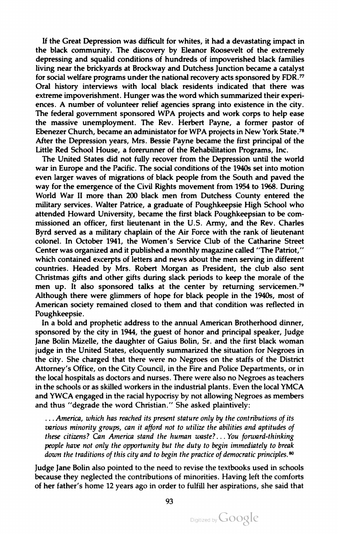If the Great Depression was difficult for whites, it had <sup>a</sup> devastating impact in the black community. The discovery by Eleanor Roosevelt of the extremely depressing and squalid conditions of hundreds of impoverished black families living near the brickyards at Brockway and Dutchess Junction becamea catalyst for social welfare programs under the national recovery acts sponsored by FDR.77 Oral history interviews with local black residents indicated that there was extreme impoverishment. Hunger was the word which summarized their experiences . <sup>A</sup> number of volunteer relief agencies sprang into existence in the city . The federal government sponsored WPA projects and work corps to help ease the massive unemployment. The Rev. Herbert Payne, <sup>a</sup> former pastor of Ebenezer Church, became an administator for WPA projects in New York State.<sup>78</sup> After the Depression years, Mrs. Bessie Payne became the first principal of the Little Red School House, a forerunner of the Rehabilitation Programs, Inc.

The United States did not fully recover from the Depression until the world war in Europe and the Pacific. The social conditions of the 1940s set into motion even larger waves of migrations of black people from the South and paved the way for the emergence of the Civil Rights movement from <sup>1954</sup> to 1968. During World War II more than 200 black men from Dutchess County entered the military services. Walter Patrice, <sup>a</sup> graduate of Poughkeepsie High School who attended Howard University, became the first black Poughkeepsian to be com missioned an officer, first lieutenant in the U.S. Army, and the Rev. Charles Byrd served as a military chaplain of the Air Force with the rank of lieutenant colonel. In October 1941, the Women's Service Club of the Catharine Street Center was organized and it published amonthly magazine called " The Patriot," which contained excerpts of letters and news about the men serving in different countries. Headed by Mrs. Robert Morgan as President, the club also sent Christmas gifts and other gifts during slack periods to keep the morale of the men up. It also sponsored talks at the center by returning servicemen.<sup>79</sup> Although there were glimmers of hope for black people in the 1940s, most of American society remained closed to them and that condition was reflected in Poughkeepsie .

In <sup>a</sup> bold and prophetic address to the annual American Brotherhood dinner, sponsored by the city in 1944, the guest of honor and principal speaker, Judge Jane Bolin Mizelle, the daughter of Gaius Bolin, Sr. and the first black woman judge in the United States, eloquently summarized the situation for Negroes in the city. She charged that there were no Negroes on the staffs of the District Attorney's Office , on the City Council, in the Fire and Police Departments, or in the local hospitals as doctors and nurses . There were also no Negroes as teachers in the schools or as skilled workers in the industrial plants. Even the local YMCA and YWCA engaged in the racial hypocrisy by not allowing Negroes as members and thus " degrade the word Christian." She asked plaintively:

.... America, which has reached its present stature only by the contributions of its various minority groups, can it afford not to utilize the abilities and aptitudes of these citizens? Can America stand the human waste?... You forward-thinking people have not only the opportunity but the duty to begin immediately to break down the traditions of this city and to begin the practice of democratic principles. $80$ 

Judge Jane Bolin also pointed to the need to revise the textbooks used in schools because they neglected the contributions of minorities. Having left the comforts of her father's home <sup>12</sup> years ago in order to fulfill her aspirations, she said that

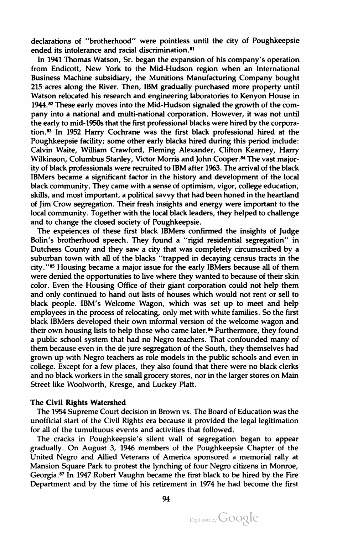declarations of "brotherhood" were pointless until the city of Poughkeepsie ended its intolerance and racial discrimination.<sup>81</sup>

In 1941 Thomas Watson, Sr. began the expansion of his company's operation from Endicott, New York to the Mid-Hudson region when an International Business Machine subsidiary, the Munitions Manufacturing Company bought 215 acres along the River. Then, IBM gradually purchased more property until Watson relocated his research and engineering laboratories to Kenyon House in 1944.82 These early moves into the Mid -Hudson signaled the growth of the com pany into <sup>a</sup> national and multi-national corporation . However, it was not until the early to mid-1950s that the first professional blacks were hired by the corporation.83 In <sup>1952</sup> Harry Cochrane was the first black professional hired at the Poughkeepsie facility; some other early blacks hired during this period include: Calvin Waite, William Crawford, Fleming Alexander, Clifton Kearney, Harry Wilkinson, Columbus Stanley, Victor Morris and John Cooper.<sup>84</sup> The vast majority of black professionals were recruited to IBM after 1963. The arrival of the black IBMers became <sup>a</sup> significant factor in the history and development of the local black community. They came with a sense of optimism, vigor, college education, skills, and most important, a political savvy that had been honed in the heartland of Jim Crow segregation . Their fresh insights and energy were important to the local community. Together with the local black leaders, they helped to challenge and to change the closed society of Poughkeepsie .

The expeiences of these first black IBMers confirmed the insights of Judge Bolin's brotherhood speech. They found a "rigid residential segregation" in Dutchess County and they saw <sup>a</sup> city that was completely circumscribed by <sup>a</sup> suburban town with all of the blacks " trapped in decaying census tracts in the city.''85 Housing became a major issue for the early IBMers because all of them were denied the opportunities to live where they wanted to because of their skin color. Even the Housing Office of their giant corporation could not help them and only continued to hand out lists of houses which would not rent or sell to black people. IBM's Welcome Wagon, which was set up to meet and help employees in the process of relocating, only met with white families. So the first black IBMers developed their own informal version of the welcome wagon and their own housing lists to help those who came later.<sup>86</sup> Furthermore, they found <sup>a</sup> public school system that had no Negro teachers. That confounded many of them because even in the de jure segregation of the South, they themselves had grown up with Negro teachers as rolemodels in the public schools and even in college . Except for <sup>a</sup> few places, they also found that there were no black clerks and no black workers in the small grocery stores, nor in the larger stores on Main Street like Woolworth, Kresge, and Luckey Platt.

#### The Civil Rights Watershed

The 1954 Supreme Court decision in Brown vs. The Board of Education was the unofficial start of the Civil Rights era because it provided the legal legitimation for all of the tumultuous events and activities that followed.

The cracks in Poughkeepsie's silent wall of segregation began to appear gradually. On August 3, 1946 members of the Poughkeepsie Chapter of the United Negro and Allied Veterans of America sponsored a memorial rally at Mansion Square Park to protest the lynching of four Negro citizens in Monroe,<br>Georgia.<sup>87</sup> In 1947 Robert Vaughn became the first black to be hired by the Fire Department and by the time of his retirement in 1974 he had become the first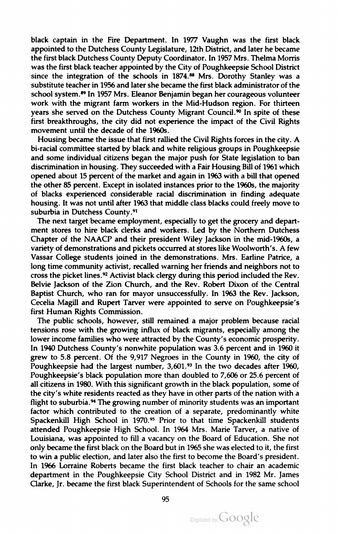black captain in the Fire Department. In 1977 Vaughn was the first black appointed to the Dutchess County Legislature, 12th District, and later he became the first black Dutchess County Deputy Coordinator. In 1957 Mrs. Thelma Morris was the first black teacher appointed by the City of Poughkeepsie School District since the integration of the schools in 1874.<sup>88</sup> Mrs. Dorothy Stanley was a substitute teacher in 1956 and later she became the first black administrator of the school system.<sup>89</sup> In 1957 Mrs. Eleanor Benjamin began her courageous volunteer work with the migrant farm workers in the Mid-Hudson region. For thirteen years she served on the Dutchess County Migrant Council.<sup>90</sup> In spite of these first breakthroughs, the city did not experience the impact of the Civil Rights movement until the decade of the 1960s.

Housing became the issue that first rallied the Civil Rights forces in the city . A bi-racial committee started by black and white religious groups in Poughkeepsie and some individual citizens began the major push for State legislation to ban discrimination in housing. They succeeded with <sup>a</sup> Fair Housing Bill of 1961 which opened about <sup>15</sup> percent of the market and again in 1963 with <sup>a</sup> bill that opened the other 85 percent. Except in isolated instances prior to the 1960s, the majority of blacks experienced considerable racial discrimination in finding adequate housing. It was not until after 1963 that middle class blacks could freely move to suburbia in Dutchess County.<sup>91</sup>

The next target became employment, especially to get the grocery and depart ment stores to hire black clerks and workers. Led by the Northern Dutchess Chapter of the NAACP and their president Wiley Jackson in the mid -1960s, <sup>a</sup> variety of demonstrations and pickets occurred at stores like Woolworth's. A few Vassar College students joined in the demonstrations. Mrs. Earline Patrice, long time community activist, recalled warning her friends and neighbors not to cross the picket lines.<sup>92</sup> Activist black clergy during this period included the Rev. Belvie Jackson of the Zion Church, and the Rev. Robert Dixon of the Central Baptist Church, who ran for mayor unsuccessfully. In 1963 the Rev. Jackson, Cecelia Magill and Rupert Tarver were appointed to serve on Poughkeepsie's first Human Rights Commission.

The public schools, however, still remained a major problem because racial tensions rose with the growing influx of black migrants, especially among the lower income families who were attracted by the County's economic prosperity. In <sup>1940</sup> Dutchess County's nonwhite population was 3.6 percent and in <sup>1960</sup> it grew to  $5.8$  percent. Of the  $9.917$  Negroes in the County in 1960, the city of Poughkeepsie had the largest number, 3,601.93 In the two decades after 1960, Poughkeepsie's black population more than doubled to 7,606 or 25.6 percent of all citizens in 1980. With this significant growth in the black population, some of the city's white residents reacted as they have in other parts of the nation with <sup>a</sup> flight to suburbia. $94$  The growing number of minority students was an important factor which contributed to the creation of a separate, predominantly white Spackenkill High School in 1970.<sup>95</sup> Prior to that time Spackenkill students attended Poughkeepsie High School. In 1964 Mrs. Marie Tarver, <sup>a</sup> native of Louisiana, was appointed to fill <sup>a</sup> vacancy on the Board of Education. She not only became the first black on the Board but in 1965 she was elected to it, the first to win a public election, and later also the first to become the Board's president. In <sup>1966</sup> Lorraine Roberts became the first black teacher to chair an academic department in the Poughkeepsie City School District and in 1982 Mr. James Clarke, Jr. became the first black Superintendent of Schools for the same school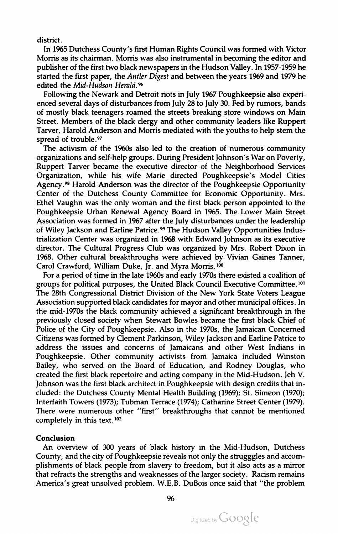district.

In 1965 Dutchess County's first Human Rights Council was formed with Victor Morris as its chairman.Morris was also instrumental in becoming the editor and publisher of the first two black newspapers in the Hudson Valley. In 1957-1959 he started the first paper, the Antler Digest and between the years 1969 and 1979 he edited the Mid-Hudson Herald.<sup>96</sup>

Following the Newark and Detroit riots in July 1967 Poughkeepsie also experi enced several days of disturbances from July 28 to July 30. Fed by rumors, bands of mostly black teenagers roamed the streets breaking store windows on Main Street. Members of the black clergy and other community leaders like Ruppert Tarver, Harold Anderson and Morris mediated with the youths to help stem the spread of trouble.<sup>97</sup>

The activism of the 1960s also led to the creation of numerous community organizations and self-help groups. During President Johnson's War on Poverty, Ruppert Tarver became the executive director of the Neighborhood Services Organization, while his wife Marie directed Poughkeepsie's Model Cities Agency.98 Harold Anderson was the director of the Poughkeepsie Opportunity Center of the Dutchess County Committee for Economic Opportunity. Mrs. Ethel Vaughn was the only woman and the first black person appointed to the Poughkeepsie Urban Renewal Agency Board in 1965. The Lower Main Street Association was formed in 1967 after the July disturbances under the leadership of Wiley Jackson and Earline Patrice.<sup>99</sup> The Hudson Valley Opportunities Industrialization Center was organized in 1968 with Edward Johnson as its executive director. The Cultural Progress Club was organized by Mrs. Robert Dixon in 1968. Other cultural breakthroughs were achieved by Vivian Gaines Tanner, Carol Crawford, William Duke, Jr. and Myra Morris.<sup>100</sup>

For a period of time in the late 1960s and early 1970s there existed a coalition of groups for political purposes, the United Black Council Executive Committee.101 The 28th Congressional District Division of the New York State Voters League Association supported black candidates for mayor and other municipal offices. In the mid-1970s the black community achieved a significant breakthrough in the previously closed society when Stewart Bowles became the first black Chief of Police of the City of Poughkeepsie. Also in the 1970s, the Jamaican Concerned Citizens was formed by Clement Parkinson, Wiley Jackson and Earline Patrice to address the issues and concerns of Jamaicans and other West Indians in Poughkeepsie . Other community activists from Jamaica included Winston Bailey, who served on the Board of Education, and Rodney Douglas, who created the first black repertoire and acting company in the Mid-Hudson . Jeh V. Johnson was the first black architect in Poughkeepsie with design credits that in cluded: the Dutchess County Mental Health Building (1969); St. Simeon (1970); Interfaith Towers ( 1973); Tubman Terrace (1974); Catharine Street Center ( 1979). There were numerous other "first" breakthroughs that cannot be mentioned completely in this text. <sup>102</sup>

#### Conclusion

An overview of 300 years of black history in the Mid-Hudson, Dutchess County, and the city of Poughkeepsie reveals not only the strugggles and accomplishments of black people from slavery to freedom, but it also acts as a mirror that refracts the strengths and weaknesses of the larger society . Racism remains America's great unsolved problem . W.E.B. DuBois once said that " the problem

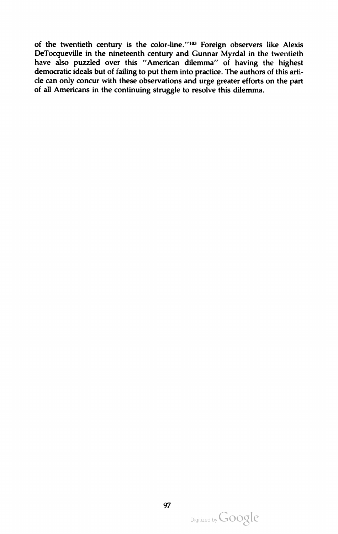of the twentieth century is the color-line."'103 Foreign observers like Alexis DeTocqueville in the nineteenth century and Gunnar Myrdal in the twentieth have also puzzled over this "American dilemma" of having the highest democratic ideals but of failing to put them into practice. The authors of this article can only concur with these observations and urge greater efforts on the part of all Americans in the continuing struggle to resolve this dilemma.

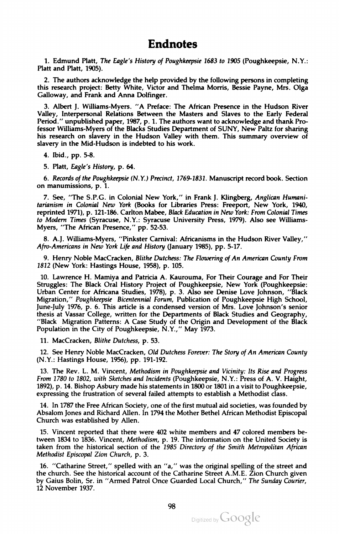## Endnotes

1. Edmund Platt, The Eagle's History of Poughkeepsie 1683 to 1905 (Poughkeepsie, N.Y.: Platt and Platt, 1905) .

2. The authors acknowledge the help provided by the following persons in completing this research project: Betty White, Victor and Thelma Morris, Bessie Payne, Mrs. Olga Galloway, and Frank and Anna Dolfinger.

3. Albert J. Williams-Myers . " <sup>A</sup> Preface : The African Presence in the Hudson River Valley, Interpersonal Relations Between the Masters and Slaves to the Early Federal Period ." unpublished paper, 1987, p. 1. The authors want to acknowledge and thank Professor Williams-Myers of the Blacks Studies Department of SUNY, New Paltz for sharing his research on slavery in the Hudson Valley with them. This summary overview of slavery in the Mid-Hudson is indebted to his work.

4. Ibid., pp. 5-8.

5. Platt, Eagle's History, p. 64.

6. Records of the Poughkeepsie (N.Y.) Precinct, 1769-1831. Manuscript record book. Section on manumissions, <sup>p</sup> . 1.

7. See, "The S.P.G. in Colonial New York," in Frank J. Klingberg, Anglican Humanitarianism in Colonial New York (Books for Libraries Press: Freeport, New York , 1940, reprinted 1971), p. 121-186. Carlton Mabee, Black Education in New York: From Colonial Times to Modern Times (Syracuse, N.Y.: Syracuse University Press, 1979). Also see Williams-Myers, "The African Presence," pp. 52-53.

8. A.J. Williams-Myers, "Pinkster Carnival: Africanisms in the Hudson River Valley," Afro-Americans in New York Life and History (January 1985), pp. 5-17.

9. Henry Noble MacCracken, Blithe Dutchess: The Flowering of An American County From 1812 (New York: Hastings House, 1958), p. 105.

10. Lawrence H.Mamiya and Patricia A. Kaurouma, For Their Courage and For Their Struggles: The Black Oral History Project of Poughkeepsie, New York (Poughkeepsie: Urban Center for Africana Studies, 1978), p. 3. Also see Denise Love Johnson, "Black Migration," Poughkeepsie Bicentennial Forum, Publication of Poughkeepsie High School, June-July 1976, p. 6. This article is a condensed version of Mrs. Love Johnson's senior thesis at Vassar College, written for the Departments of Black Studies and Geography, "'Black Migration Patterns: <sup>A</sup> Case Study of the Origin and Development of the Black Population in the City of Poughkeepsie, N.Y.," May 1973.

11. MacCracken, Blithe Dutchess, p. 53.

12. See Henry Noble MacCracken, Old Dutchess Forever: The Story of An American County (N.Y.: Hastings House, 1956), pp. 191-192.

13. The Rev. L. M. Vincent, Methodism in Poughkeepsie and Vicinity: Its Rise and Progress From 1780 to 1802, with Sketches and Incidents (Poughkeepsie, N.Y.: Press of A. V. Haight, 1892), <sup>p</sup> . 14. Bishop Asbury made his statements in <sup>1800</sup> or 1801 in <sup>a</sup> visit to Poughkeepsie, expressing the frustration of several failed attempts to establish <sup>a</sup> Methodist class .

14. In 1787 the Free African Society , one of the first mutual aid societies , was founded by Absalom Jones and Richard Allen. In 1794 the Mother Bethel African Methodist Episcopal Church was established by Allen.

15. Vincent reported that there were <sup>402</sup> white members and <sup>47</sup> colored members be tween 1834 to 1836. Vincent, Methodism, p. 19. The information on the United Society is taken from the historical section of the 1985 Directory of the Smith Metropolitan African Methodist Episcopal Zion Church, p. 3.

16. "Catharine Street," spelled with an "a," was the original spelling of the street and the church. See the historical account of the Catharine Street A.M.E. Zion Church given by Gaius Bolin, Sr. in "Armed Patrol Once Guarded Local Church," The Sunday Courier, <sup>12</sup> November 1937 .

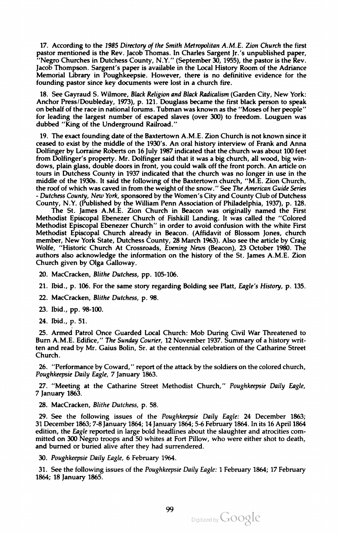17. According to the 1985 Directory of the Smith Metropolitan A.M.E. Zion Church the first pastor mentioned is the Rev. Jacob Thomas. In Charles Sargent Jr.'s unpublished paper, " Negro Churches in Dutchess County, N.Y." (September 30, 1955), the pastoris the Rev. Jacob Thompson. Sargent's paper is available in the Local History Room of the Adriance Memorial Library in Poughkeepsie. However, there is no definitive evidence for the founding pastor since key documents were lost in a church fire.

18. See Gayraud S. Wilmore, Black Religion and Black Radicalism (Garden City, New York: Anchor Press/Doubleday, 1973), p. 121. Douglass became the first black person to speak on behalf of the race in national forums. Tubman was known as the "Moses of her people " for leading the largest number of escaped slaves (over 300) to freedom. Louguen was dubbed "King of the Underground Railroad."

19. The exact founding date of the Baxtertown A.M.E. Zion Church is notknown since it ceased to exist by the middle of the 1930's. An oral history interview of Frank and Anna Dolfinger by Lorraine Roberts on <sup>16</sup> July 1987 indicated that the church was about <sup>100</sup> feet from Dolfinger's property. Mr. Dolfinger said that it was a big church, all wood, big windows, plain glass, double doors in front, you could walk off the front porch . An article on tours in Dutchess County in 1937 indicated that the church was no longer in use in the middle of the 1930s. It said the following of the Baxtertown church, "M.E. Zion Church, the roof of which was caved in from the weight of the snow." See The American Guide Series - Dutchess County, New York, sponsored by the Women's City and County Club of Dutchess County, N.Y. (Published by the William Penn Association of Philadelphia, 1937), p. 128.

The St. James A.M.E. Zion Church in Beacon was originally named the First Methodist Episcopal Ebenezer Church of Fishkill Landing. It was called the " Colored Methodist Episcopal Ebenezer Church" in order to avoid confusion with the white First Methodist Episcopal Church already in Beacon. (Affidavit of Blossom Jones, church member, New York State, Dutchess County , 28 March 1963). Also see the article by Craig Wolfe, "Historic Church At Crossroads, Evening News (Beacon), 23 October 1980. The authors also acknowledge the information on the history of the St. James A.M.E. Zion Church given by Olga Galloway.

20. MacCracken, Blithe Dutchess, pp. 105-106.

21. Ibid., p. 106. For the same story regarding Bolding see Platt, Eagle's History, p. 135.

22. MacCracken, Blithe Dutchess, p. 98.

23. Ibid ., pp. 98-100 .

24. Ibid., p. 51.

25. Armed Patrol Once Guarded Local Church: Mob During Civil War Threatened to Burn A.M.E. Edifice," The Sunday Courier, <sup>12</sup> November 1937. Summary of <sup>a</sup> history writ ten and read by Mr. Gaius Bolin, Sr. at the centennial celebration of the Catharine Street Church.

26. "Performance by Coward," report of the attack by the soldiers on the colored church, Poughkeepsie Daily Eagle, 7 January 1863.

27. "Meeting at the Catharine Street Methodist Church," Poughkeepsie Daily Eagle, <sup>7</sup> January 1863.

28. MacCracken, Blithe Dutchess, p. 58.

29. See the following issues of the Poughkeepsie Daily Eagle: 24 December 1863; 31 December 1863; 7-8 January 1864; <sup>14</sup> January 1864; 5-6 February 1864. In its <sup>16</sup> April 1864 edition, the Eagle reported in large bold headlines about the slaughter and atrocities committed on 300 Negro troops and 50 whites at Fort Pillow, who were either shot to death, and burned or buried alive after they had surrendered.

30. Poughkeepsie Daily Eagle, 6 February 1964.

31. See the following issues of the Poughkeepsie Daily Eagle: 1 February 1864; <sup>17</sup> February 1864; <sup>18</sup> January 1865.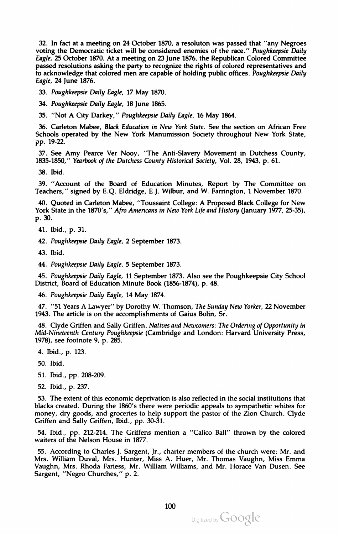32. In fact at a meeting on 24 October 1870, a resoluton was passed that "any Negroes voting the Democratic ticket will be considered enemies of the race." Poughkeepsie Daily Eagle, 25 October 1870. At a meeting on <sup>23</sup> June <sup>1876</sup> , the Republican Colored Committee passed resolutions asking the party to recognize the rights of colored representatives and to acknowledge that colored men are capable of holding public offices. Poughkeepsie Daily Eagle, 24 June 1876.

33. Poughkeepsie Daily Eagle, <sup>17</sup> May 1870.

34. Poughkeepsie Daily Eagle, 18 June 1865.

35. " Not <sup>A</sup> City Darkey," Poughkeepsie Daily Eagle, <sup>16</sup> May <sup>1864</sup> .

36. Carleton Mabee, Black Education in New York State. See the section on African Free Schools operated by the New York Manumission Society throughout New York State, pp. 19-22.

37. See Amy Pearce Ver Nooy, "The Anti-Slavery Movement in Dutchess County, 1835-1850," Yearbook of the Dutchess County Historical Society, Vol. 28, 1943, p. 61.

38. Ibid .

39. " Account of the Board of Education Minutes, Report by The Committee on Teachers," signed by E.Q. Eldridge, E.J. Wilbur, and W. Farrington, 1 November 1870.

40. Quoted in Carleton Mabee, " Toussaint College: <sup>A</sup> Proposed Black College for New York State in the 1870's," Afro Americans in New York Life and History (January 1977, 25-35), p. 30.

41. Ibid., p. 31.

42. Poughkeepsie Daily Eagle, <sup>2</sup> September 1873.

43. Ibid .

44. Poughkeepsie Daily Eagle, <sup>5</sup> September 1873.

45. Poughkeepsie Daily Eagle, 11 September 1873. Also see the Poughkeepsie City School District, Board of Education Minute Book (1856-1874), p. 48.

46. Poughkeepsie Daily Eagle, <sup>14</sup> May <sup>1874</sup> .

47. "51 Years A Lawyer" by Dorothy W. Thomson, The Sunday New Yorker, 22 November 1943. The article is on the accomplishments of Gaius Bolin, Sr.

48. Clyde Griffen and Sally Griffen. Natives and Newcomers: The Ordering of Opportunity in Mid -Nineteenth Century Poughkeepsie (Cambridge and London : Harvard University Press, 1978), see footnote 9, p. 285.

4. Ibid., p. 123.

50. Ibid .

51. Ibid ., pp. 208-209 .

52. Ibid., p. 237.

53. The extent of this economic deprivation is also reflected in the social institutions that blacks created. During the 1860's there were periodic appeals to sympathetic whites for money, dry goods, and groceries to help support the pastor of the Zion Church. Clyde Griffen and Sally Griffen, Ibid., pp. 30-31.

54. Ibid., pp. 212-214. The Griffens mention a "Calico Ball" thrown by the colored waiters of the Nelson House in 1877.

55. According to Charles J. Sargent, Jr., charter members of the church were: Mr. and Mrs. William Duval, Mrs. Hunter, Miss A. Huer, Mr. Thomas Vaughn, Miss Emma Vaughn, Mrs. Rhoda Fariess, Mr. William Williams, and Mr. Horace Van Dusen . See Sargent, "Negro Churches," p. 2.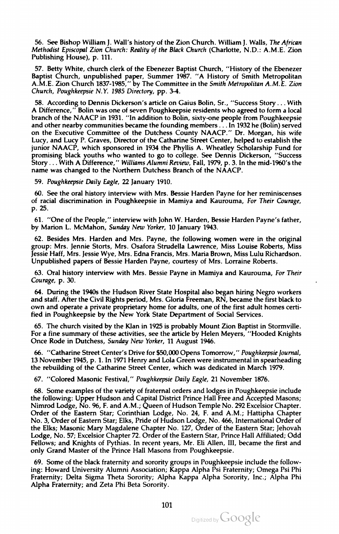56. See Bishop William I. Wall's history of the Zion Church. William I. Walls, The African Methodist Episcopal Zion Church : Reality of the Black Church (Charlotte, N.D.: A.M.E. Zion Publishing House), p. 111.

57. Betty White, church clerk of the Ebenezer Baptist Church, "History of the Ebenezer Baptist Church, unpublished paper, Summer 1987. "A History of Smith Metropolitan A.M.E. Zion Church 1837-1985," by The Committee in the Smith Metropolitan A.M.E. Zion Church, Poughkeepsie N.Y. 1985 Directory, pp. 3-4.

58. According to Dennis Dickerson's article on Gaius Bolin, Sr., "Success Story ... With A Difference," Bolin was one of seven Poughkeepsie residents who agreed to form a local branch of the NAACP in 1931. "In addition to Bolin, sixty-one people from Poughkeepsie and other nearby communities became the founding members . . . In 1932 he (Bolin) served on the Executive Committee of the Dutchess County NAACP." Dr. Morgan, his wife Lucy, and Lucy P. Graves, Director of the Catharine Street Center, helped to establish the junior NAACP, which sponsored in <sup>1934</sup> the Phyllis A. Wheatley Scholarship Fund for promising black youths who wanted to go to college. See Dennis Dickerson, "Success Story ... With A Difference," Williams Alumni Review, Fall, 1979, p. 3. In the mid-1960's the name was changed to the Northern Dutchess Branch of the NAACP.

59. Poughkeepsie Daily Eagle, 22 January 1910 .

60. See the oral history interview with Mrs. Bessie Harden Payne for her reminiscenses of racial discrimination in Poughkeepsie in Mamiya and Kaurouma, For Their Courage, p. 25.

61. "One of the People," interview with John W. Harden, Bessie Harden Payne's father, by Marion L. McMahon, Sunday New Yorker, 10 January 1943.

62. Besides Mrs. Harden and Mrs. Payne, the following women were in the original group: Mrs. Jennie Storts, Mrs. Osafora Strudella Lawrence , Miss Louise Roberts , Miss Jessie Haff, Mrs. Jessie Wye, Mrs. Edna Francis, Mrs. Maria Brown, Miss Lulu Richardson. Unpublished papers of Bessie Harden Payne, courtesy of Mrs. Lorraine Roberts .

63. Oral history interview with Mrs. Bessie Payne in Mamiya and Kaurouma, For Their Courage, p. 30.

64. During the 1940s the Hudson River State Hospital also began hiring Negro workers and staff. After the Civil Rights period, Mrs. Gloria Freeman, RN, became the first black to own and operate <sup>a</sup> private proprietary home for adults, one of the first adult homes certi fied in Poughkeepsie by the New York State Department of Social Services .

65. The church visited by the Klan in <sup>1925</sup> is probably Mount Zion Baptist in Stormville. For a fine summary of these activities, see the article by Helen Meyers, "Hooded Knights Once Rode in Dutchess, Sunday New Yorker, <sup>11</sup> August 1946.

66. "Catharine Street Center's Drive for \$50,000 Opens Tomorrow," Poughkeepsie Journal, 13 November 1945, p. 1. In 1971 Henry and Lola Green were instrumental in spearheading the rebuilding of the Catharine Street Center, which was dedicated in March <sup>1979</sup> .

67. " Colored Masonic Festival," Poughkeepsie Daily Eagle, <sup>21</sup> November <sup>1876</sup> .

68. Some examples of the variety of fraternal orders and lodges in Poughkeepsie include the following: Upper Hudson and Capital District Prince Hall Free and Accepted Masons; Nimrod Lodge, No. 96, F. and A.M.; Queen of Hudson Temple No. 292 Excelsior Chapter. Order of the Eastern Star; Corinthian Lodge, No. 24, F. and A.M .; Hattipha Chapter No. 3, Order of Eastern Star; Elks, Pride of Hudson Lodge, No.466 , International Order of the Elks; Masonic Mary Magdalene Chapter No. 127, Order of the Eastern Star; Jehovah Lodge, No. 57; Excelsior Chapter 72. Order of the Eastern Star, Prince Hall Affiliated; Odd Fellows; and Knights of Pythias. In recent years, Mr. Eli Allen, III, became the first and only Grand Master of the Prince Hall Masons from Poughkeepsie.

69. Some of the black fraternity and sorority groups in Poughkeepsie include the following: Howard University Alumni Association; Kappa Alpha Psi Fraternity ; Omega Psi Phi Fraternity; Delta Sigma Theta Sorority; Alpha Kappa Alpha Sorority, Inc.; Alpha Phi Alpha Fraternity; and Zeta Phi Beta Sorority.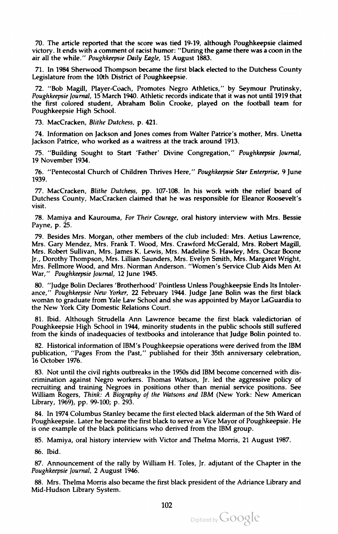70. The article reported that the score was tied 19-19, although Poughkeepsie claimed victory. It ends with a comment of racist humor: "During the game there was a coon in the air all the while." Poughkeepsie Daily Eagle, 15 August 1883.

71. In 1984 Sherwood Thompson became the first black elected to the Dutchess County Legislature from the 10th District of Poughkeepsie .

72. "Bob Magill, Player-Coach, Promotes Negro Athletics," by Seymour Prutinsky, Poughkeepsie Journal, <sup>15</sup> March 1940. Athletic records indicate that it was not until <sup>1919</sup> that the first colored student, Abraham Bolin Crooke, played on the football team for Poughkeepsie High School.

73. MacCracken, Blithe Dutchess, p. 421.

74. Information on Jackson and Jones comes from Walter Patrice's mother, Mrs. Unetta Jackson Patrice, who worked as <sup>a</sup> waitress at the track around 1913.

75. " Building Sought to Start 'Father' Divine Congregation ," Poughkeepsie Journal, <sup>19</sup> November <sup>1934</sup> .

76. " Pentecostal Church of Children Thrives Here," Poughkeepsie Star Enterprise, 9 June<br>1939.

77. MacCracken, Blithe Dutchess, pp. 107-108. In his work with the relief board of Dutchess County, MacCracken claimed that he was responsible for Eleanor Roosevelt's visit .

78. Mamiya and Kaurouma, For Their Courage, oral history interview with Mrs. Bessie Payne, p. 25.

79. Besides Mrs. Morgan, other members of the club included: Mrs. Aetius Lawrence, Mrs. Gary Mendez, Mrs. Frank T. Wood, Mrs. Crawford McGerald, Mrs. Robert Magill, Mrs. Robert Sullivan , Mrs. James K. Lewis, Mrs. Madeline S. Hawley, Mrs. Oscar Boone Jr., Dorothy Thompson, Mrs. Lillian Saunders, Mrs. Evelyn Smith, Mrs. Margaret Wright, Mrs. Fellmore Wood, and Mrs. Norman Anderson . " Women's Service Club AidsMen At War," Poughkeepsie Journal, 12 June 1945.

80. " Judge Bolin Declares 'Brotherhood ' Pointless Unless Poughkeepsie Ends Its Intoler ance," Poughkeepsie New Yorker, 22 February 1944. Judge Jane Bolin was the first black woman to graduate from Yale Law School and she was appointed byMayor LaGuardia to the New York City Domestic Relations Court.

81. Ibid. Although Strudella Ann Lawrence became the first black valedictorian of Poughkeepsie High School in 1944 , minority students in the public schools still suffered from the kinds of inadequacies of textbooks and intolerance that Judge Bolin pointed to .

82. Historical information of IBM's Poughkeepsie operations were derived from the IBM publication, "Pages From the Past," published for their 35th anniversary celebration, 16 October 1976.

83. Not until the civil rights outbreaks in the 1950s did IBM become concerned with dis crimination against Negro workers. Thomas Watson, Jr. led the aggressive policy of recruiting and training Negroes in positions other than menial service positions. See William Rogers, Think: A Biography of the Watsons and IBM (New York: New American Library, 1969), pp. 99-100; p. 293.

84. In 1974 Columbus Stanley became the first elected black alderman of the 5th Ward of Poughkeepsie . Later he became the first black to serve as Vice Mayor of Poughkeepsie. He is one example of the black politicians who derived from the IBM group .

85. Mamiya, oral history interview with Victor and Thelma Morris, 21 August 1987.

86. Ibid .

87. Announcement of the rally by William H. Toles, Jr. adjutant of the Chapter in the Poughkeepsie Journal, <sup>2</sup> August 1946.

88. Mrs. Thelma Morris also became the first black president of the Adriance Library and Mid-Hudson Library System.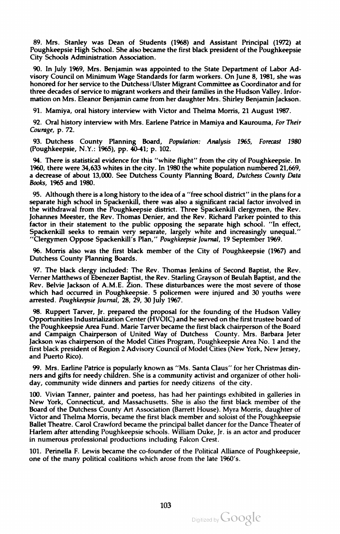89. Mrs. Stanley was Dean of Students ( 1968) and Assistant Principal ( 1972) at Poughkeepsie High School. She also became the first black president of the Poughkeepsie City Schools Administration Association .

90. In July 1969, Mrs. Benjamin was appointed to the State Department of Labor Ad visory Council on Minimum Wage Standards for farm workers. On June 8, 1981, she was honored for her service to the Dutchess/Ulster Migrant Committee as Coordinator and for three decades of service to migrant workers and their families in the Hudson Valley. Information on Mrs. Eleanor Benjamin came from her daughter Mrs. Shirley Benjamin Jackson.

91. Mamiya, oral history interview with Victor and Thelma Morris, 21 August 1987.

92. Oral history interview with Mrs. Earlene Patrice in Mamiya and Kaurouma, For Their Courage, p. 72.

93. Dutchess County Planning Board, Population: Analysis 1965, Forecast 1980 (Poughkeepsie, N.Y.: 1965), pp. 40-41; p. 102.

94. There is statistical evidence for this "white flight" from the city of Poughkeepsie. In 1960, there were 34,633 whites in the city . In 1980 the white population numbered 21,669, a decrease of about 13,000. See Dutchess County Planning Board, Dutchess County Data Books, 1965 and 1980.

95. Although there is a long history to the idea of a "free school district" in the plans for a separate high school in Spackenkill, there was also a significant racial factor involved in<br>the withdrawal from the Poughkeepsie district. Three Spackenkill clergymen, the Rev. Johannes Meester, the Rev. Thomas Denier, and the Rev. Richard Parker pointed to this factor in their statement to the public opposing the separate high school. "In effect, Spackenkill seeks to remain very separate, largely white and increasingly unequal.' " Clergymen Oppose Spackenkill's Plan ," Poughkeepsie Journal, <sup>19</sup> September 1969.

96. Morris also was the first black member of the City of Poughkeepsie (1967 ) and Dutchess County Planning Boards.

97. The black clergy included: The Rev. Thomas Jenkins of Second Baptist, the Rev. Verner Matthews of Ebenezer Baptist, the Rev. Starling Grayson of Beulah Baptist, and the Rev. Belvie Jackson of A.M.E. Zion . These disturbances were the most severe of those which had occurred in Poughkeepsie . <sup>5</sup> policemen were injured and <sup>30</sup> youths were arrested. Poughkeepsie Journal, 28, 29, 30 July 1967.

98. Ruppert Tarver, Jr. prepared the proposal for the founding of the Hudson Valley Opportunities Industrialization Center (HVOIC ) and he served on the first trustee board of the Poughkeepsie Area Fund. Marie Tarver became the first black chairperson of the Board and Campaign Chairperson of United Way of Dutchess County . Mrs. Barbara Jeter Jackson was chairperson of the Model Cities Program, Poughkeepsie Area No. 1 and the first black president of Region 2 Advisory Council of Model Cities (New York, New Jersey, and Puerto Rico) .

99. Mrs. Earline Patrice is popularly known as "Ms. Santa Claus" for her Christmas dinners and gifts for needy children. She is a community activist and organizer of other holiday, community wide dinners and parties for needy citizens of the city.

100. Vivian Tanner, painter and poetess, has had her paintings exhibited in galleries in New York, Connecticut, and Massachusetts. She is also the first black member of the Board of the Dutchess County Art Association (Barrett House). Myra Morris, daughter of Victor and Thelma Morris, became the first black member and soloist of the Poughkeepsie Ballet Theatre. Carol Crawford became the principal ballet dancer for the Dance Theater of Harlem after attending Poughkeepsie schools. William Duke, Jr. is an actor and producer in numerous professional productions including Falcon Crest.

101. Perinella F. Lewis became the co -founder of the Political Alliance of Poughkeepsie, one of the many political coalitions which arose from the late 1960's.